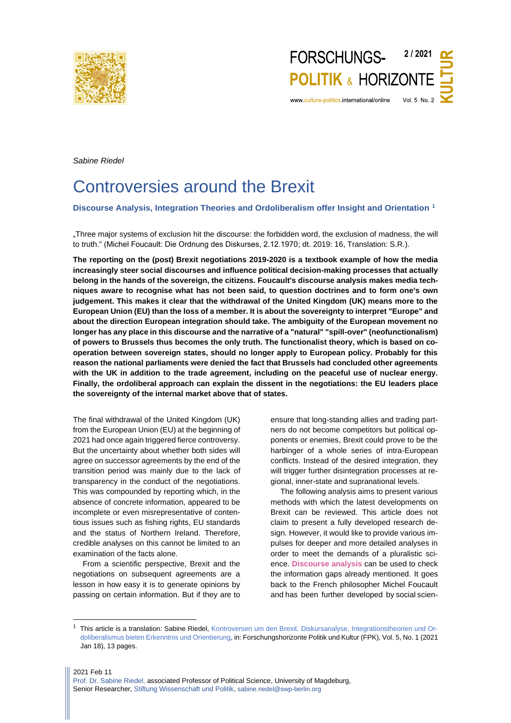

*Sabine Riedel*

# Controversies around the Brexit

# **Discourse Analysis, Integration Theories and Ordoliberalism offer Insight and Orientation <sup>1</sup>**

"Three major systems of exclusion hit the discourse: the forbidden word, the exclusion of madness, the will to truth." (Michel Foucault: Die Ordnung des Diskurses, 2.12.1970; dt. 2019: 16, Translation: S.R.).

**The reporting on the (post) Brexit negotiations 2019-2020 is a textbook example of how the media increasingly steer social discourses and influence political decision-making processes that actually belong in the hands of the sovereign, the citizens. Foucault's discourse analysis makes media techniques aware to recognise what has not been said, to question doctrines and to form one's own judgement. This makes it clear that the withdrawal of the United Kingdom (UK) means more to the European Union (EU) than the loss of a member. It is about the sovereignty to interpret "Europe" and about the direction European integration should take. The ambiguity of the European movement no longer has any place in this discourse and the narrative of a "natural" "spill-over" (neofunctionalism) of powers to Brussels thus becomes the only truth. The functionalist theory, which is based on cooperation between sovereign states, should no longer apply to European policy. Probably for this reason the national parliaments were denied the fact that Brussels had concluded other agreements with the UK in addition to the trade agreement, including on the peaceful use of nuclear energy. Finally, the ordoliberal approach can explain the dissent in the negotiations: the EU leaders place the sovereignty of the internal market above that of states.**

The final withdrawal of the United Kingdom (UK) from the European Union (EU) at the beginning of 2021 had once again triggered fierce controversy. But the uncertainty about whether both sides will agree on successor agreements by the end of the transition period was mainly due to the lack of transparency in the conduct of the negotiations. This was compounded by reporting which, in the absence of concrete information, appeared to be incomplete or even misrepresentative of contentious issues such as fishing rights, EU standards and the status of Northern Ireland. Therefore, credible analyses on this cannot be limited to an examination of the facts alone.

From a scientific perspective, Brexit and the negotiations on subsequent agreements are a lesson in how easy it is to generate opinions by passing on certain information. But if they are to

ensure that long-standing allies and trading partners do not become competitors but political opponents or enemies, Brexit could prove to be the harbinger of a whole series of intra-European conflicts. Instead of the desired integration, they will trigger further disintegration processes at regional, inner-state and supranational levels.

The following analysis aims to present various methods with which the latest developments on Brexit can be reviewed. This article does not claim to present a fully developed research design. However, it would like to provide various impulses for deeper and more detailed analyses in order to meet the demands of a pluralistic science. **Discourse analysis** can be used to check the information gaps already mentioned. It goes back to the French philosopher Michel Foucault and has been further developed by social scien-

<sup>&</sup>lt;sup>1</sup> This article is a translation: Sabine Riedel, [Kontroversen um den Brexit. Diskursanalyse, Integrationstheorien und Or](http://www.culture-politics.international/wp-content/uploads/2021/FPK_Brexit-Kontroversen_1_2021.pdf)[doliberalismus bieten Erkenntnis und Orientierung,](http://www.culture-politics.international/wp-content/uploads/2021/FPK_Brexit-Kontroversen_1_2021.pdf) in: Forschungshorizonte Politik und Kultur (FPK), Vol. 5, No. 1 (2021 Jan 18), 13 pages.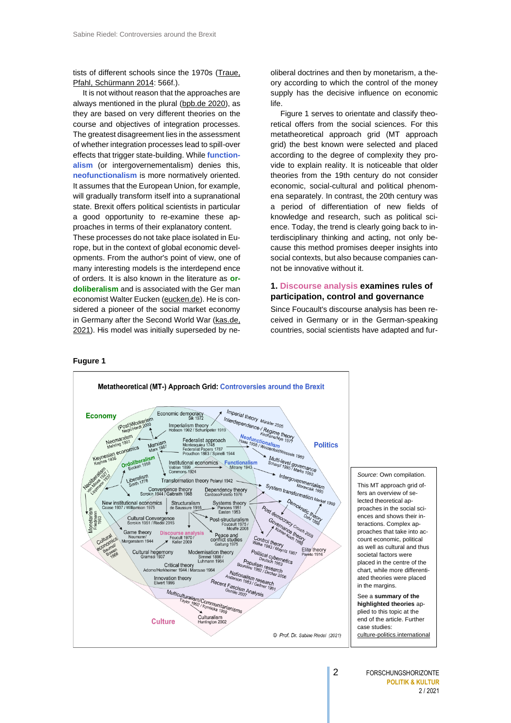tists of different schools since the 1970s [\(Traue,](https://www.researchgate.net/publication/312787310_Diskursanalyse)  [Pfahl, Schürmann 2014:](https://www.researchgate.net/publication/312787310_Diskursanalyse) 566f.).

It is not without reason that the approaches are always mentioned in the plural [\(bpb.de 2020\)](https://www.bpb.de/nachschlagen/lexika/das-europalexikon/177303/theorien-der-europaeischen-integration), as they are based on very different theories on the course and objectives of integration processes. The greatest disagreement lies in the assessment of whether integration processes lead to spill-over effects that trigger state-building. While **[function](#page-4-0)[alism](#page-4-0)** (or intergovernementalism) denies this, **[neofunctionalism](#page-4-1)** is more normatively oriented. It assumes that the European Union, for example, will gradually transform itself into a supranational state. Brexit offers political scientists in particular a good opportunity to re-examine these approaches in terms of their explanatory content.

These processes do not take place isolated in Europe, but in the context of global economic developments. From the author's point of view, one of many interesting models is the interdepend ence of orders. It is also known in the literature as **[or](#page-6-0)[doliberalism](#page-6-0)** and is associated with the Ger man economist Walter Eucken [\(eucken.de\)](https://www.eucken.de/freiburger-tradition/walter-eucken/). He is considered a pioneer of the social market economy in Germany after the Second World War [\(kas.de,](https://www.kas.de/de/web/soziale-marktwirtschaft/ordoliberalismus)  [2021\)](https://www.kas.de/de/web/soziale-marktwirtschaft/ordoliberalismus). His model was initially superseded by ne-

oliberal doctrines and then by monetarism, a theory according to which the control of the money supply has the decisive influence on economic life.

Figure 1 serves to orientate and classify theoretical offers from the social sciences. For this metatheoretical approach grid (MT approach grid) the best known were selected and placed according to the degree of complexity they provide to explain reality. It is noticeable that older theories from the 19th century do not consider economic, social-cultural and political phenomena separately. In contrast, the 20th century was a period of differentiation of new fields of knowledge and research, such as political science. Today, the trend is clearly going back to interdisciplinary thinking and acting, not only because this method promises deeper insights into social contexts, but also because companies cannot be innovative without it.

# **1. Discourse analysis examines rules of participation, control and governance**

Since Foucault's discourse analysis has been received in Germany or in the German-speaking countries, social scientists have adapted and fur-

# **Fugure 1**

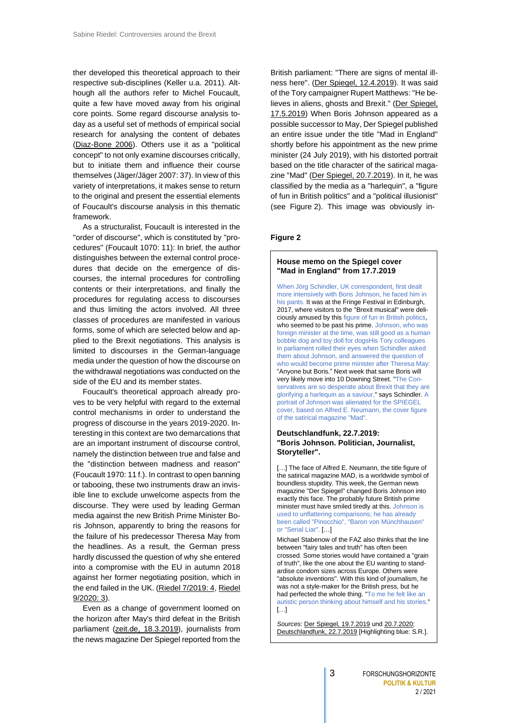ther developed this theoretical approach to their respective sub-disciplines (Keller u.a. 2011). Although all the authors refer to Michel Foucault, quite a few have moved away from his original core points. Some regard discourse analysis today as a useful set of methods of empirical social research for analysing the content of debates [\(Diaz-Bone 2006\)](https://www.ssoar.info/ssoar/handle/document/8761). Others use it as a "political concept" to not only examine discourses critically, but to initiate them and influence their course themselves (Jäger/Jäger 2007: 37). In view of this variety of interpretations, it makes sense to return to the original and present the essential elements of Foucault's discourse analysis in this thematic framework.

As a structuralist, Foucault is interested in the "order of discourse", which is constituted by "procedures" (Foucault 1070: 11): In brief, the author distinguishes between the external control procedures that decide on the emergence of discourses, the internal procedures for controlling contents or their interpretations, and finally the procedures for regulating access to discourses and thus limiting the actors involved. All three classes of procedures are manifested in various forms, some of which are selected below and applied to the Brexit negotiations. This analysis is limited to discourses in the German-language media under the question of how the discourse on the withdrawal negotiations was conducted on the side of the EU and its member states.

Foucault's theoretical approach already proves to be very helpful with regard to the external control mechanisms in order to understand the progress of discourse in the years 2019-2020. Interesting in this context are two demarcations that are an important instrument of discourse control, namely the distinction between true and false and the "distinction between madness and reason" (Foucault 1970: 11 f.). In contrast to open banning or tabooing, these two instruments draw an invisible line to exclude unwelcome aspects from the discourse. They were used by leading German media against the new British Prime Minister Boris Johnson, apparently to bring the reasons for the failure of his predecessor Theresa May from the headlines. As a result, the German press hardly discussed the question of why she entered into a compromise with the EU in autumn 2018 against her former negotiating position, which in the end failed in the UK. [\(Riedel 7/2019: 4,](http://www.culture-politics.international/wp-content/uploads/2019/09/FPK_Brexit_7-2019.pdf) [Riedel](http://www.culture-politics.international/wp-content/uploads/2020/08/FPK_Brexit-II-en_9-2020.pdf)  [9/2020: 3\)](http://www.culture-politics.international/wp-content/uploads/2020/08/FPK_Brexit-II-en_9-2020.pdf).

Even as a change of government loomed on the horizon after May's third defeat in the British parliament [\(zeit.de, 18.3.2019](https://www.zeit.de/politik/ausland/2019-03/britisches-parlament-brexit-vertrag-abstimmung-john-bercow)), journalists from the news magazine Der Spiegel reported from the

British parliament: "There are signs of mental ill-ness here". [\(Der Spiegel, 12.4.2019\)](https://www.spiegel.de/politik/brexit-besuch-im-unterhaus-es-gibt-hier-anzeichen-mentaler-krankheit-a-00000000-0002-0001-0000-000163403879). It was said of the Tory campaigner Rupert Matthews: "He believes in aliens, ghosts and Brexit." [\(Der Spiegel,](https://www.spiegel.de/politik/tory-wahlkaempfer-rupert-matthews-glaubt-an-aliens-geister-und-den-brexit-a-00000000-0002-0001-0000-000163955865) [17.5.2019\)](https://www.spiegel.de/politik/tory-wahlkaempfer-rupert-matthews-glaubt-an-aliens-geister-und-den-brexit-a-00000000-0002-0001-0000-000163955865) When Boris Johnson appeared as a possible successor to May, Der Spiegel published an entire issue under the title "Mad in England" shortly before his appointment as the new prime minister (24 July 2019), with his distorted portrait based on the title character of the satirical magazine "Mad" [\(Der Spiegel, 20.7.2019\)](https://www.spiegel.de/video/boris-johnson-schindler-video-99028554.html). In it, he was classified by the media as a "harlequin", a "figure of fun in British politics" and a "political illusionist" (see Figure 2). This image was obviously in-

#### **Figure 2**

# **House memo on the Spiegel cover "Mad in England" from 17.7.2019**

When Jörg Schindler, UK correspondent, first dealt more intensively with Boris Johnson, he faced him in his pants. It was at the Fringe Festival in Edinburgh, 2017, where visitors to the "Brexit musical" were deliciously amused by this figure of fun in British politics, who seemed to be past his prime. Johnson, who was foreign minister at the time, was still good as a human bobble dog and toy doll for dogsHis Tory colleagues in parliament rolled their eyes when Schindler asked them about Johnson, and answered the question of who would become prime minister after Theresa May: "Anyone but Boris." Next week that same Boris will very likely move into 10 Downing Street. "The Conservatives are so desperate about Brexit that they are glorifying a harlequin as a saviour," says Schindler. A portrait of Johnson was alienated for the SPIEGEL cover, based on Alfred E. Neumann, the cover figure of the satirical magazine "Mad".

# **Deutschlandfunk, 22.7.2019: "Boris Johnson. Politician, Journalist, Storyteller".**

[...] The face of Alfred E. Neumann, the title figure of the satirical magazine MAD, is a worldwide symbol of boundless stupidity. This week, the German news magazine "Der Spiegel" changed Boris Johnson into exactly this face. The probably future British prime minister must have smiled tiredly at this. Johnson is used to unflattering comparisons; he has already been called "Pinocchio", "Baron von Münchhausen" or "Serial Liar". […]

Michael Stabenow of the FAZ also thinks that the line between "fairy tales and truth" has often been crossed. Some stories would have contained a "grain of truth", like the one about the EU wanting to standardise condom sizes across Europe. Others were "absolute inventions". With this kind of journalism, he was not a style-maker for the British press, but he had perfected the whole thing. "To me he felt like an autistic person thinking about himself and his stories."  $\lceil \cdot \rceil$ 

*Sources:* [Der Spiegel, 19.7.2019](https://www.spiegel.de/panorama/wie-boris-johnson-die-briten-gegen-europa-aufstachelt-a-f72c0566-13e9-4874-8097-12e7074f7bf9) und [20.7.2020;](https://www.spiegel.de/spiegel/print/d-164983159.html) [Deutschlandfunk, 22.7.2019](https://www.deutschlandfunk.de/boris-johnson-politiker-journalist-maerchenonkel.2907.de.html?dram:article_id=454476) [Highlighting blue: S.R.].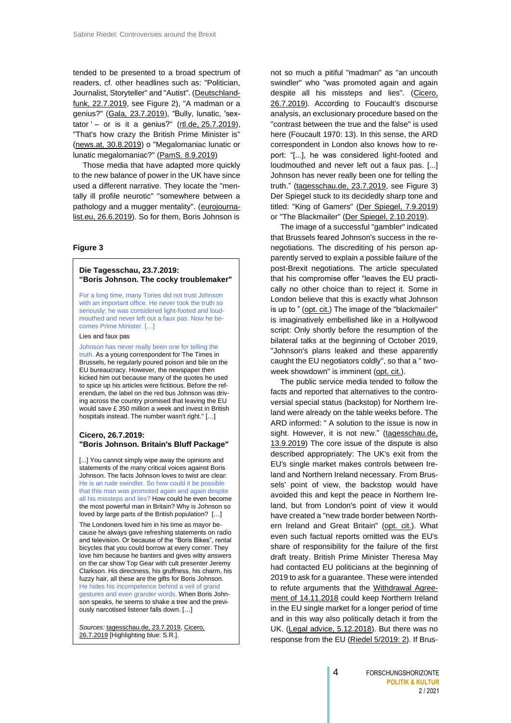tended to be presented to a broad spectrum of readers, cf. other headlines such as: "Politician, Journalist, Storyteller" and "Autist". [\(Deutschland](https://www.deutschlandfunk.de/boris-johnson-politiker-journalist-maerchenonkel.2907.de.html?dram:article_id=454476)[funk, 22.7.2019,](https://www.deutschlandfunk.de/boris-johnson-politiker-journalist-maerchenonkel.2907.de.html?dram:article_id=454476) see Figure 2), "A madman or a genius?" [\(Gala, 23.7.2019\)](https://www.gala.de/stars/news/boris-johnson--ein-irrer-oder-ein-genie--22108474.html), "Bully, lunatic, 'sextator ' $-$  or is it a genius?" (rtl.de,  $25.7.2019$ ), "That's how crazy the British Prime Minister is" [\(news.at, 30.8.2019\)](https://www.news.at/a/boris-johnson-sager-premier-10989683) o "Megalomaniac lunatic or lunatic megalomaniac?" [\(PamS. 8.9.2019\)](https://www.der-postillon.com/2019/09/PamS-1936.html)

Those media that have adapted more quickly to the new balance of power in the UK have since used a different narrative. They locate the "mentally ill profile neurotic" "somewhere between a pathology and a mugger mentality". [\(eurojourna](http://eurojournalist.eu/wann-genau-sind-die-briten-eigentlich-durchgedreht/)[list.eu, 26.6.2019\)](http://eurojournalist.eu/wann-genau-sind-die-briten-eigentlich-durchgedreht/). So for them, Boris Johnson is

# **Figure 3**

## **Die Tagesschau, 23.7.2019: "Boris Johnson. The cocky troublemaker"**

For a long time, many Tories did not trust Johnson with an important office. He never took the truth so seriously; he was considered light-footed and loudmouthed and never left out a faux pas. Now he becomes Prime Minister. […]

#### Lies and faux pas

Johnson has never really been one for telling the truth. As a young correspondent for The Times in Brussels, he regularly poured poison and bile on the EU bureaucracy. However, the newspaper then kicked him out because many of the quotes he used to spice up his articles were fictitious. Before the referendum, the label on the red bus Johnson was driving across the country promised that leaving the EU would save £ 350 million a week and invest in British hospitals instead. The number wasn't right." […]

# **Cicero, 26.7.2019: "Boris Johnson. Britain's Bluff Package"**

[...] You cannot simply wipe away the opinions and statements of the many critical voices against Boris Johnson. The facts Johnson loves to twist are clear: He is an rude swindler. So how could it be possible that this man was promoted again and again despite all his missteps and lies? How could he even become the most powerful man in Britain? Why is Johnson so loved by large parts of the British population? […] The Londoners loved him in his time as mayor because he always gave refreshing statements on radio and television. Or because of the "Boris Bikes", rental bicycles that you could borrow at every corner. They love him because he banters and gives witty answers on the car show Top Gear with cult presenter Jeremy Clarkson. His directness, his gruffness, his charm, his fuzzy hair, all these are the gifts for Boris Johnson. He hides his incompetence behind a veil of grand gestures and even grander words. When Boris Johnson speaks, he seems to shake a tree and the previously narcotised listener falls down. […]

*Sources:* [tagesschau.de, 23.7.2019,](https://www.tagesschau.de/ausland/johnson-portrait-103.html) [Cicero,](https://www.cicero.de/aussenpolitik/boris-johnson-premierminister-grossbritannien-brexit)  [26.7.2019](https://www.cicero.de/aussenpolitik/boris-johnson-premierminister-grossbritannien-brexit) [Highlighting blue: S.R.].

not so much a pitiful "madman" as "an uncouth swindler" who "was promoted again and again despite all his missteps and lies". [\(Cicero,](https://www.cicero.de/aussenpolitik/boris-johnson-premierminister-grossbritannien-brexit)  [26.7.2019\)](https://www.cicero.de/aussenpolitik/boris-johnson-premierminister-grossbritannien-brexit). According to Foucault's discourse analysis, an exclusionary procedure based on the "contrast between the true and the false" is used here (Foucault 1970: 13). In this sense, the ARD correspondent in London also knows how to report: "[...], he was considered light-footed and loudmouthed and never left out a faux pas. [...] Johnson has never really been one for telling the truth." [\(tagesschau.de, 23.7.2019,](https://www.tagesschau.de/ausland/johnson-portrait-103.html) see Figure 3) Der Spiegel stuck to its decidedly sharp tone and titled: "King of Gamers" [\(Der Spiegel, 7.9.2019\)](https://magazin.spiegel.de/SP/2019/37/165815034/index.html) or "The Blackmailer" [\(Der Spiegel, 2.10.2019\)](https://www.spiegel.de/politik/ausland/brexit-premier-boris-johnson-hat-fuer-die-eu-ein-vergiftetes-angebot-a-1289758.html).

The image of a successful "gambler" indicated that Brussels feared Johnson's success in the renegotiations. The discrediting of his person apparently served to explain a possible failure of the post-Brexit negotiations. The article speculated that his compromise offer "leaves the EU practically no other choice than to reject it. Some in London believe that this is exactly what Johnson is up to " [\(opt. cit.\)](https://www.spiegel.de/politik/ausland/brexit-premier-boris-johnson-hat-fuer-die-eu-ein-vergiftetes-angebot-a-1289758.html) The image of the "blackmailer" is imaginatively embellished like in a Hollywood script: Only shortly before the resumption of the bilateral talks at the beginning of October 2019, "Johnson's plans leaked and these apparently caught the EU negotiators coldly", so that a " twoweek showdown" is imminent [\(opt. cit.\)](https://www.spiegel.de/politik/ausland/brexit-premier-boris-johnson-hat-fuer-die-eu-ein-vergiftetes-angebot-a-1289758.html).

The public service media tended to follow the facts and reported that alternatives to the controversial special status (backstop) for Northern Ireland were already on the table weeks before. The ARD informed: " A solution to the issue is now in sight. However, it is not new." [\(tagesschau.de,](https://www.tagesschau.de/ausland/brexit-backstop-101.html)  [13.9.2019\)](https://www.tagesschau.de/ausland/brexit-backstop-101.html) The core issue of the dispute is also described appropriately: The UK's exit from the EU's single market makes controls between Ireland and Northern Ireland necessary. From Brussels' point of view, the backstop would have avoided this and kept the peace in Northern Ireland, but from London's point of view it would have created a "new trade border between Northern Ireland and Great Britain" [\(opt.](https://www.tagesschau.de/ausland/brexit-backstop-101.html) cit.). What even such factual reports omitted was the EU's share of responsibility for the failure of the first draft treaty. British Prime Minister Theresa May had contacted EU politicians at the beginning of 2019 to ask for a guarantee. These were intended to refute arguments that the [Withdrawal Agree](https://ec.europa.eu/info/sites/info/files/draft_withdrawal_agreement_0.pdf)[ment of 14.11.2018](https://ec.europa.eu/info/sites/info/files/draft_withdrawal_agreement_0.pdf) could keep Northern Ireland in the EU single market for a longer period of time and in this way also politically detach it from the UK. [\(Legal advice, 5.12.2018\)](https://www.gov.uk/government/publications/exiting-the-eu-publication-of-legal-advice). But there was no response from the EU [\(Riedel 5/2019: 2\)](http://www.culture-politics.international/wp-content/uploads/2019/09/FPK_NI_5-2019.pdf). If Brus-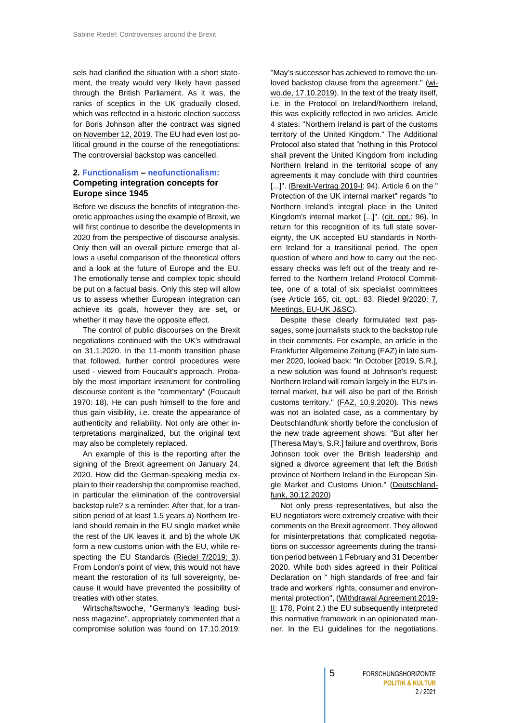sels had clarified the situation with a short statement, the treaty would very likely have passed through the British Parliament. As it was, the ranks of sceptics in the UK gradually closed, which was reflected in a historic election success for Boris Johnson after the [contract was signed](https://eur-lex.europa.eu/legal-content/EN/TXT/?uri=OJ%3AC%3A2019%3A384I%3ATOC)  [on November 12, 2019.](https://eur-lex.europa.eu/legal-content/EN/TXT/?uri=OJ%3AC%3A2019%3A384I%3ATOC) The EU had even lost political ground in the course of the renegotiations: The controversial backstop was cancelled.

# <span id="page-4-0"></span>**2. Functionalism – neofunctionalism: Competing integration concepts for Europe since 1945**

Before we discuss the benefits of integration-theoretic approaches using the example of Brexit, we will first continue to describe the developments in 2020 from the perspective of discourse analysis. Only then will an overall picture emerge that allows a useful comparison of the theoretical offers and a look at the future of Europe and the EU. The emotionally tense and complex topic should be put on a factual basis. Only this step will allow us to assess whether European integration can achieve its goals, however they are set, or whether it may have the opposite effect.

The control of public discourses on the Brexit negotiations continued with the UK's withdrawal on 31.1.2020. In the 11-month transition phase that followed, further control procedures were used - viewed from Foucault's approach. Probably the most important instrument for controlling discourse content is the "commentary" (Foucault 1970: 18). He can push himself to the fore and thus gain visibility, i.e. create the appearance of authenticity and reliability. Not only are other interpretations marginalized, but the original text may also be completely replaced.

An example of this is the reporting after the signing of the Brexit agreement on January 24, 2020. How did the German-speaking media explain to their readership the compromise reached, in particular the elimination of the controversial backstop rule? s a reminder: After that, for a transition period of at least 1.5 years a) Northern Ireland should remain in the EU single market while the rest of the UK leaves it, and b) the whole UK form a new customs union with the EU, while respecting the EU Standards [\(Riedel 7/2019: 3\)](http://www.culture-politics.international/wp-content/uploads/2019/09/FPK_Brexit_7-2019.pdf). From London's point of view, this would not have meant the restoration of its full sovereignty, because it would have prevented the possibility of treaties with other states.

Wirtschaftswoche, "Germany's leading business magazine", appropriately commented that a compromise solution was found on 17.10.2019: <span id="page-4-1"></span>"May's successor has achieved to remove the un-loved backstop clause from the agreement." [\(wi](https://www.wiwo.de/politik/europa/brexit-ein-deal-mit-vielen-fragezeichen/25127130.html)[wo.de, 17.10.2019\)](https://www.wiwo.de/politik/europa/brexit-ein-deal-mit-vielen-fragezeichen/25127130.html). In the text of the treaty itself, i.e. in the Protocol on Ireland/Northern Ireland, this was explicitly reflected in two articles. Article 4 states: "Northern Ireland is part of the customs territory of the United Kingdom." The Additional Protocol also stated that "nothing in this Protocol shall prevent the United Kingdom from including Northern Ireland in the territorial scope of any agreements it may conclude with third countries [...]". [\(Brexit-Vertrag 2019-I:](https://eur-lex.europa.eu/legal-content/EN/TXT/?uri=OJ%3AC%3A2019%3A384I%3ATOC) 94). Article 6 on the " Protection of the UK internal market" regards "to Northern Ireland's integral place in the United Kingdom's internal market [...]". [\(cit. opt.:](https://eur-lex.europa.eu/legal-content/EN/TXT/?uri=OJ%3AC%3A2019%3A384I%3ATOC) 96). In return for this recognition of its full state sovereignty, the UK accepted EU standards in Northern Ireland for a transitional period. The open question of where and how to carry out the necessary checks was left out of the treaty and referred to the Northern Ireland Protocol Committee, one of a total of six specialist committees (see Article 165, [cit. opt.:](https://eur-lex.europa.eu/legal-content/EN/TXT/?uri=OJ%3AC%3A2019%3A384I%3ATOC) 83; [Riedel 9/2020: 7](http://www.culture-politics.international/wp-content/uploads/2020/08/FPK_Brexit-II-en_9-2020.pdf), [Meetings, EU-UK J&SC\)](https://ec.europa.eu/info/relations-united-kingdom/eu-uk-withdrawal-agreement/meetings-eu-uk-joint-and-specialised-committees-under-withdrawal-agreement_en#meetingsofthespecialisedcommittees).

Despite these clearly formulated text passages, some journalists stuck to the backstop rule in their comments. For example, an article in the Frankfurter Allgemeine Zeitung (FAZ) in late summer 2020, looked back: "In October [2019, S.R.], a new solution was found at Johnson's request: Northern Ireland will remain largely in the EU's internal market, but will also be part of the British customs territory." [\(FAZ, 10.9.2020\)](https://www.faz.net/aktuell/politik/ausland/brexit-verhandlungen-worueber-streiten-sich-london-und-die-eu-16946856.html). This news was not an isolated case, as a commentary by Deutschlandfunk shortly before the conclusion of the new trade agreement shows: "But after her [Theresa May's, S.R.] failure and overthrow, Boris Johnson took over the British leadership and signed a divorce agreement that left the British province of Northern Ireland in the European Single Market and Customs Union." [\(Deutschland](https://www.deutschlandfunk.de/stimmung-in-irland-und-nordirland-trotz-brexit.795.de.html?dram:article_id=490078)[funk, 30.12.2020\)](https://www.deutschlandfunk.de/stimmung-in-irland-und-nordirland-trotz-brexit.795.de.html?dram:article_id=490078)

Not only press representatives, but also the EU negotiators were extremely creative with their comments on the Brexit agreement. They allowed for misinterpretations that complicated negotiations on successor agreements during the transition period between 1 February and 31 December 2020. While both sides agreed in their Political Declaration on " high standards of free and fair trade and workers' rights, consumer and environmental protection", [\(Withdrawal Agreement](https://eur-lex.europa.eu/legal-content/DE/TXT/PDF/?uri=OJ:C:2019:384I:FULL&from=EN) 2019- [II:](https://eur-lex.europa.eu/legal-content/DE/TXT/PDF/?uri=OJ:C:2019:384I:FULL&from=EN) 178, Point 2.) the EU subsequently interpreted this normative framework in an opinionated manner. In the EU guidelines for the negotiations,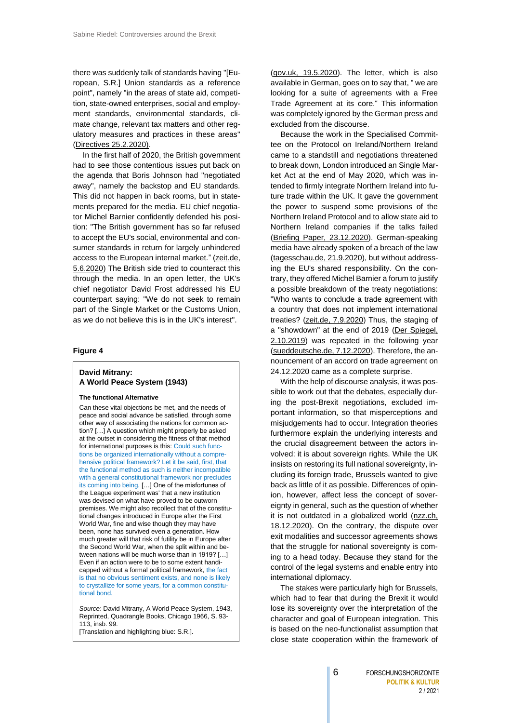there was suddenly talk of standards having "[European, S.R.] Union standards as a reference point", namely "in the areas of state aid, competition, state-owned enterprises, social and employment standards, environmental standards, climate change, relevant tax matters and other regulatory measures and practices in these areas" [\(Directives 25.2.2020\)](https://www.consilium.europa.eu/media/42736/st05870-ad01re03-en20.pdf).

In the first half of 2020, the British government had to see those contentious issues put back on the agenda that Boris Johnson had "negotiated away", namely the backstop and EU standards. This did not happen in back rooms, but in statements prepared for the media. EU chief negotiator Michel Barnier confidently defended his position: "The British government has so far refused to accept the EU's social, environmental and consumer standards in return for largely unhindered access to the European internal market." (zeit.de, [5.6.2020\)](https://www.zeit.de/politik/ausland/2020-06/brexit-freihandelsabkommen-eu-grossbritannien-michel-barnier) The British side tried to counteract this through the media. In an open letter, the UK's chief negotiator David Frost addressed his EU counterpart saying: "We do not seek to remain part of the Single Market or the Customs Union, as we do not believe this is in the UK's interest".

#### **Figure 4**

# **David Mitrany: A World Peace System (1943)**

#### **The functional Alternative**

Can these vital objections be met, and the needs of peace and social advance be satisfied, through some other way of associating the nations for common action? […] A question which might properly be asked at the outset in considering the fitness of that method for international purposes is this: Could such functions be organized internationally without a comprehensive political framework? Let it be said, first, that the functional method as such is neither incompatible with a general constitutional framework nor precludes its coming into being. […] One of the misfortunes of the League experiment was' that a new institution was devised on what have proved to be outworn premises. We might also recollect that of the constitutional changes introduced in Europe after the First World War, fine and wise though they may have been, none has survived even a generation. How much greater will that risk of futility be in Europe after the Second World War, when the split within and between nations will be much worse than in 1919? […] Even if an action were to be to some extent handicapped without a formal political framework, the fact is that no obvious sentiment exists, and none is likely to crystallize for some years, for a common constitutional bond.

*Source:* David Mitrany, A World Peace System, 1943, Reprinted, Quadrangle Books, Chicago 1966, S. 93- 113, insb. 99.

[Translation and highlighting blue: S.R.].

[\(gov.uk, 19.5.2020\)](https://assets.publishing.service.gov.uk/government/uploads/system/uploads/attachment_data/file/886168/Letter_to_Michel_Barnier_19.05.20.pdf). The letter, which is also available in German, goes on to say that, " we are looking for a suite of agreements with a Free Trade Agreement at its core." This information was completely ignored by the German press and excluded from the discourse.

Because the work in the Specialised Committee on the Protocol on Ireland/Northern Ireland came to a standstill and negotiations threatened to break down, London introduced an Single Market Act at the end of May 2020, which was intended to firmly integrate Northern Ireland into future trade within the UK. It gave the government the power to suspend some provisions of the Northern Ireland Protocol and to allow state aid to Northern Ireland companies if the talks failed [\(Briefing Paper, 23.12.2020\)](https://researchbriefings.files.parliament.uk/documents/CBP-9102/CBP-9102.pdf). German-speaking media have already spoken of a breach of the law [\(tagesschau.de, 21.9.2020\)](https://www.tagesschau.de/ausland/binnenmarktgesetz-101.html), but without addressing the EU's shared responsibility. On the contrary, they offered Michel Barnier a forum to justify a possible breakdown of the treaty negotiations: "Who wants to conclude a trade agreement with a country that does not implement international treaties? [\(zeit.de, 7.9.2020\)](https://www.zeit.de/politik/ausland/2020-09/brexit-grossbritannien-verhandlungen-abkommen-ultimatum-boris-johnson-michel-barnier) Thus, the staging of a "showdown" at the end of 2019 [\(Der Spiegel,](https://www.spiegel.de/politik/ausland/brexit-premier-boris-johnson-hat-fuer-die-eu-ein-vergiftetes-angebot-a-1289758.html)  [2.10.2019\)](https://www.spiegel.de/politik/ausland/brexit-premier-boris-johnson-hat-fuer-die-eu-ein-vergiftetes-angebot-a-1289758.html) was repeated in the following year [\(sueddeutsche.de, 7.12.2020\)](https://www.sueddeutsche.de/politik/brexit-verhandlungen-eu-1.5139180). Therefore, the announcement of an accord on trade agreement on 24.12.2020 came as a complete surprise.

With the help of discourse analysis, it was possible to work out that the debates, especially during the post-Brexit negotiations, excluded important information, so that misperceptions and misjudgements had to occur. Integration theories furthermore explain the underlying interests and the crucial disagreement between the actors involved: it is about sovereign rights. While the UK insists on restoring its full national sovereignty, including its foreign trade, Brussels wanted to give back as little of it as possible. Differences of opinion, however, affect less the concept of sovereignty in general, such as the question of whether it is not outdated in a globalized world [\(nzz.ch,](https://www.nzz.ch/international/die-realitaeten-des-harten-brexits-oder-warum-die-britische-souveraenitaet-auch-nach-dem-eu-austritt-nicht-absolut-ist-ld.1592531)  [18.12.2020\)](https://www.nzz.ch/international/die-realitaeten-des-harten-brexits-oder-warum-die-britische-souveraenitaet-auch-nach-dem-eu-austritt-nicht-absolut-ist-ld.1592531). On the contrary, the dispute over exit modalities and successor agreements shows that the struggle for national sovereignty is coming to a head today. Because they stand for the control of the legal systems and enable entry into international diplomacy.

The stakes were particularly high for Brussels, which had to fear that during the Brexit it would lose its sovereignty over the interpretation of the character and goal of European integration. This is based on the neo-functionalist assumption that close state cooperation within the framework of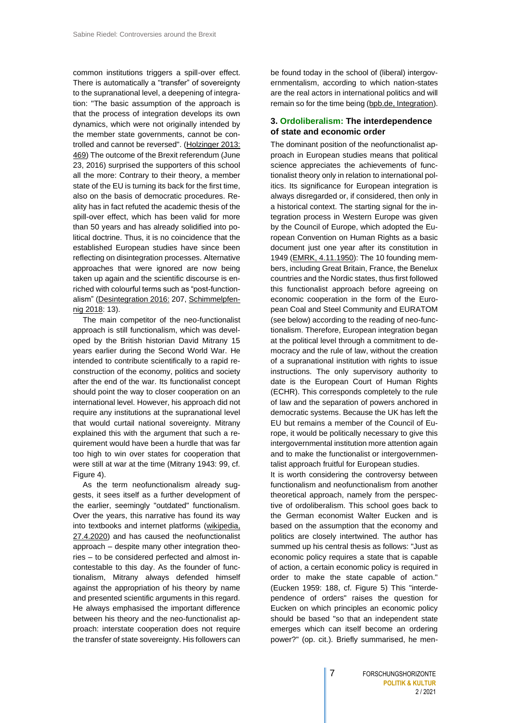common institutions triggers a spill-over effect. There is automatically a "transfer" of sovereignty to the supranational level, a deepening of integration: "The basic assumption of the approach is that the process of integration develops its own dynamics, which were not originally intended by the member state governments, cannot be controlled and cannot be reversed". [\(Holzinger 2013:](https://www.google.de/url?sa=t&rct=j&q=&esrc=s&source=web&cd=&ved=2ahUKEwikn9i9p5fuAhV05eAKHYoaCZY4FBAWMAB6BAgFEAI&url=https%3A%2F%2Fkops.uni-konstanz.de%2Fbitstream%2F123456789%2F25876%2F2%2FHolzinger_258766.pdf&usg=AOvVaw0z7UYzLmiq00WhyQMxs9iU)  [469\)](https://www.google.de/url?sa=t&rct=j&q=&esrc=s&source=web&cd=&ved=2ahUKEwikn9i9p5fuAhV05eAKHYoaCZY4FBAWMAB6BAgFEAI&url=https%3A%2F%2Fkops.uni-konstanz.de%2Fbitstream%2F123456789%2F25876%2F2%2FHolzinger_258766.pdf&usg=AOvVaw0z7UYzLmiq00WhyQMxs9iU) The outcome of the Brexit referendum (June 23, 2016) surprised the supporters of this school all the more: Contrary to their theory, a member state of the EU is turning its back for the first time, also on the basis of democratic procedures. Reality has in fact refuted the academic thesis of the spill-over effect, which has been valid for more than 50 years and has already solidified into political doctrine. Thus, it is no coincidence that the established European studies have since been reflecting on disintegration processes. Alternative approaches that were ignored are now being taken up again and the scientific discourse is enriched with colourful terms such as "post-functionalism" [\(Desintegration 2016:](http://iep-berlin.de/wp-content/uploads/2016/09/Anders-Eppler-Tuntschew-Integration.pdf) 207, [Schimmelpfen](https://www.researchgate.net/publication/327812727_Theorien_der_europaischen_Integration)[nig 2018:](https://www.researchgate.net/publication/327812727_Theorien_der_europaischen_Integration) 13).

The main competitor of the neo-functionalist approach is still functionalism, which was developed by the British historian David Mitrany 15 years earlier during the Second World War. He intended to contribute scientifically to a rapid reconstruction of the economy, politics and society after the end of the war. Its functionalist concept should point the way to closer cooperation on an international level. However, his approach did not require any institutions at the supranational level that would curtail national sovereignty. Mitrany explained this with the argument that such a requirement would have been a hurdle that was far too high to win over states for cooperation that were still at war at the time (Mitrany 1943: 99, cf. Figure 4).

As the term neofunctionalism already suggests, it sees itself as a further development of the earlier, seemingly "outdated" functionalism. Over the years, this narrative has found its way into textbooks and internet platforms [\(wikipedia,](https://en.wikipedia.org/wiki/Neofunctionalism)  [27.4.2020\)](https://en.wikipedia.org/wiki/Neofunctionalism) and has caused the neofunctionalist approach – despite many other integration theories – to be considered perfected and almost incontestable to this day. As the founder of functionalism, Mitrany always defended himself against the appropriation of his theory by name and presented scientific arguments in this regard. He always emphasised the important difference between his theory and the neo-functionalist approach: interstate cooperation does not require the transfer of state sovereignty. His followers can

be found today in the school of (liberal) intergovernmentalism, according to which nation-states are the real actors in international politics and will remain so for the time being [\(bpb.de, Integration\)](https://www.bpb.de/nachschlagen/lexika/das-europalexikon/177303/theorien-der-europaeischen-integration).

# <span id="page-6-0"></span>**3. Ordoliberalism: The interdependence of state and economic order**

The dominant position of the neofunctionalist approach in European studies means that political science appreciates the achievements of functionalist theory only in relation to international politics. Its significance for European integration is always disregarded or, if considered, then only in a historical context. The starting signal for the integration process in Western Europe was given by the Council of Europe, which adopted the European Convention on Human Rights as a basic document just one year after its constitution in 1949 [\(EMRK, 4.11.1950\)](https://www.echr.coe.int/documents/convention_eng.pdf): The 10 founding members, including Great Britain, France, the Benelux countries and the Nordic states, thus first followed this functionalist approach before agreeing on economic cooperation in the form of the European Coal and Steel Community and EURATOM (see below) according to the reading of neo-functionalism. Therefore, European integration began at the political level through a commitment to democracy and the rule of law, without the creation of a supranational institution with rights to issue instructions. The only supervisory authority to date is the European Court of Human Rights (ECHR). This corresponds completely to the rule of law and the separation of powers anchored in democratic systems. Because the UK has left the EU but remains a member of the Council of Europe, it would be politically necessary to give this intergovernmental institution more attention again and to make the functionalist or intergovernmentalist approach fruitful for European studies.

It is worth considering the controversy between functionalism and neofunctionalism from another theoretical approach, namely from the perspective of ordoliberalism. This school goes back to the German economist Walter Eucken and is based on the assumption that the economy and politics are closely intertwined. The author has summed up his central thesis as follows: "Just as economic policy requires a state that is capable of action, a certain economic policy is required in order to make the state capable of action." (Eucken 1959: 188, cf. Figure 5) This "interdependence of orders" raises the question for Eucken on which principles an economic policy should be based "so that an independent state emerges which can itself become an ordering power?" (op. cit.). Briefly summarised, he men-

2 / 2021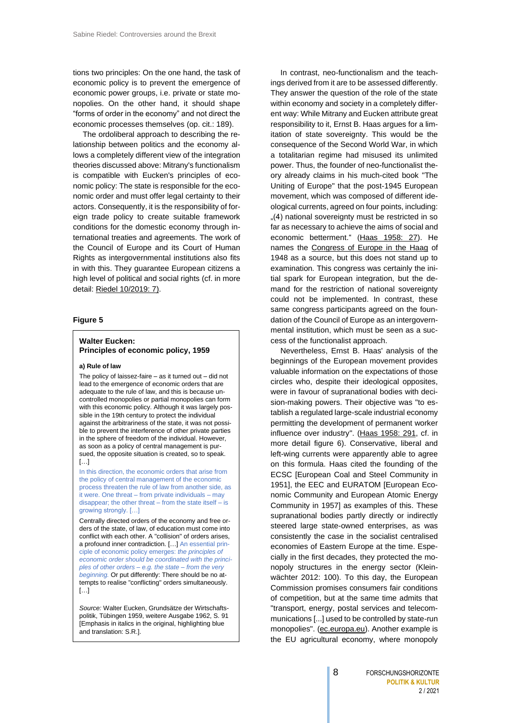tions two principles: On the one hand, the task of economic policy is to prevent the emergence of economic power groups, i.e. private or state monopolies. On the other hand, it should shape "forms of order in the economy" and not direct the economic processes themselves (op. cit.: 189).

The ordoliberal approach to describing the relationship between politics and the economy allows a completely different view of the integration theories discussed above: Mitrany's functionalism is compatible with Eucken's principles of economic policy: The state is responsible for the economic order and must offer legal certainty to their actors. Consequently, it is the responsibility of foreign trade policy to create suitable framework conditions for the domestic economy through international treaties and agreements. The work of the Council of Europe and its Court of Human Rights as intergovernmental institutions also fits in with this. They guarantee European citizens a high level of political and social rights (cf. in more detail[: Riedel 10/2019: 7\)](https://www.culture-politics.international/wp-content/uploads/2019/12/FPK_Flucht_Religon_10-2019.pdf).

#### **Figure 5**

# **Walter Eucken: Principles of economic policy, 1959**

#### **a) Rule of law**

The policy of laissez-faire – as it turned out – did not lead to the emergence of economic orders that are adequate to the rule of law, and this is because uncontrolled monopolies or partial monopolies can form with this economic policy. Although it was largely possible in the 19th century to protect the individual against the arbitrariness of the state, it was not possible to prevent the interference of other private parties in the sphere of freedom of the individual. However, as soon as a policy of central management is pursued, the opposite situation is created, so to speak.  $[...]$ 

In this direction, the economic orders that arise from the policy of central management of the economic process threaten the rule of law from another side, as it were. One threat – from private individuals – may disappear; the other threat – from the state itself – is growing strongly. […]

Centrally directed orders of the economy and free orders of the state, of law, of education must come into conflict with each other. A "collision" of orders arises, a profound inner contradiction. […] An essential principle of economic policy emerges: *the principles of economic order should be coordinated with the principles of other orders – e.g. the state – from the very beginning.* Or put differently: There should be no attempts to realise "conflicting" orders simultaneously.  $[1]$ 

*Source:* Walter Eucken, Grundsätze der Wirtschaftspolitik, Tübingen 1959, weitere Ausgabe 1962, S. 91 [Emphasis in italics in the original, highlighting blue and translation: S.R.].

In contrast, neo-functionalism and the teachings derived from it are to be assessed differently. They answer the question of the role of the state within economy and society in a completely different way: While Mitrany and Eucken attribute great responsibility to it, Ernst B. Haas argues for a limitation of state sovereignty. This would be the consequence of the Second World War, in which a totalitarian regime had misused its unlimited power. Thus, the founder of neo-functionalist theory already claims in his much-cited book "The Uniting of Europe" that the post-1945 European movement, which was composed of different ideological currents, agreed on four points, including: ..(4) national sovereignty must be restricted in so far as necessary to achieve the aims of social and economic betterment." [\(Haas 1958: 27\)](https://www.europarl.europa.eu/100books/file/EN-H-BW-0038-The-uniting-of-Europe.pdf). He names the Congress of [Europe in the](https://www.cvce.eu/de/recherche/unit-content/-/unit/en/04bfa990-86bc-402f-a633-11f39c9247c4/9c546388-b1f1-43d5-a961-e084af7d571d) Haag of 1948 as a source, but this does not stand up to examination. This congress was certainly the initial spark for European integration, but the demand for the restriction of national sovereignty could not be implemented. In contrast, these same congress participants agreed on the foundation of the Council of Europe as an intergovernmental institution, which must be seen as a success of the functionalist approach.

Nevertheless, Ernst B. Haas' analysis of the beginnings of the European movement provides valuable information on the expectations of those circles who, despite their ideological opposites, were in favour of supranational bodies with decision-making powers. Their objective was "to establish a regulated large-scale industrial economy permitting the development of permanent worker influence over industry". [\(Haas 1958: 291,](https://www.europarl.europa.eu/100books/file/EN-H-BW-0038-The-uniting-of-Europe.pdf) cf. in more detail figure 6). Conservative, liberal and left-wing currents were apparently able to agree on this formula. Haas cited the founding of the ECSC [European Coal and Steel Community in 1951], the EEC and EURATOM [European Economic Community and European Atomic Energy Community in 1957] as examples of this. These supranational bodies partly directly or indirectly steered large state-owned enterprises, as was consistently the case in the socialist centralised economies of Eastern Europe at the time. Especially in the first decades, they protected the monopoly structures in the energy sector (Kleinwächter 2012: 100). To this day, the European Commission promises consumers fair conditions of competition, but at the same time admits that "transport, energy, postal services and telecommunications [...] used to be controlled by state-run monopolies". [\(ec.europa.eu\)](https://ec.europa.eu/competition/consumers/what_en.html). Another example is the EU agricultural economy, where monopoly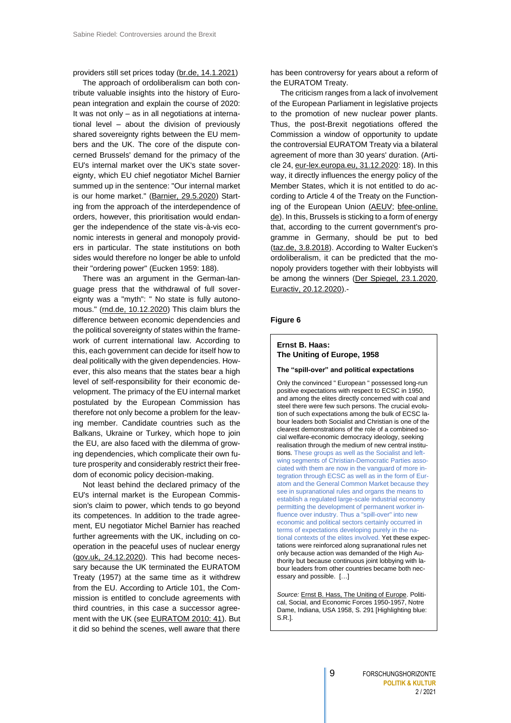providers still set prices today [\(br.de, 14.1.2021\)](https://www.br.de/nachrichten/wirtschaft/milchbauern-empoert-ueber-preissenkung-bei-butter,SM0Mzq2)

The approach of ordoliberalism can both contribute valuable insights into the history of European integration and explain the course of 2020: It was not only – as in all negotiations at international level – about the division of previously shared sovereignty rights between the EU members and the UK. The core of the dispute concerned Brussels' demand for the primacy of the EU's internal market over the UK's state sovereignty, which EU chief negotiator Michel Barnier summed up in the sentence: "Our internal market is our home market." [\(Barnier, 29.5.2020\)](https://www.deutschlandfunk.de/eu-chefunterhaendler-michel-barnier-briten-verstehen-nicht.694.de.html?dram:article_id=477558) Starting from the approach of the interdependence of orders, however, this prioritisation would endanger the independence of the state vis-à-vis economic interests in general and monopoly providers in particular. The state institutions on both sides would therefore no longer be able to unfold their "ordering power" (Eucken 1959: 188).

There was an argument in the German-language press that the withdrawal of full sovereignty was a "myth": " No state is fully autono-mous." [\(rnd.de, 10.12.2020\)](https://www.rnd.de/politik/brexit-boris-johnson-und-das-marchen-der-volligen-souveranitat-DQYI5CTAMVERXGNMZA6ZDBFMKM.html) This claim blurs the difference between economic dependencies and the political sovereignty of states within the framework of current international law. According to this, each government can decide for itself how to deal politically with the given dependencies. However, this also means that the states bear a high level of self-responsibility for their economic development. The primacy of the EU internal market postulated by the European Commission has therefore not only become a problem for the leaving member. Candidate countries such as the Balkans, Ukraine or Turkey, which hope to join the EU, are also faced with the dilemma of growing dependencies, which complicate their own future prosperity and considerably restrict their freedom of economic policy decision-making.

Not least behind the declared primacy of the EU's internal market is the European Commission's claim to power, which tends to go beyond its competences. In addition to the trade agreement, EU negotiator Michel Barnier has reached further agreements with the UK, including on cooperation in the peaceful uses of nuclear energy [\(gov.uk, 24.12.2020\)](https://www.gov.uk/government/publications/agreements-reached-between-the-united-kingdom-of-great-britain-and-northern-ireland-and-the-european-union). This had become necessary because the UK terminated the EURATOM Treaty (1957) at the same time as it withdrew from the EU. According to Article 101, the Commission is entitled to conclude agreements with third countries, in this case a successor agreement with the UK (see [EURATOM 2010: 41\)](https://europa.eu/european-union/sites/europaeu/files/docs/body/consolidated_version_of_the_treaty_establishing_the_european_atomic_energy_community_en.pdf). But it did so behind the scenes, well aware that there

has been controversy for years about a reform of the EURATOM Treaty.

The criticism ranges from a lack of involvement of the European Parliament in legislative projects to the promotion of new nuclear power plants. Thus, the post-Brexit negotiations offered the Commission a window of opportunity to update the controversial EURATOM Treaty via a bilateral agreement of more than 30 years' duration. (Article 24, [eur-lex.europa.eu, 31.12.2020:](https://eur-lex.europa.eu/legal-content/EN/TXT/PDF/?uri=CELEX:22020A1231(04)&from=DE) 18). In this way, it directly influences the energy policy of the Member States, which it is not entitled to do according to Article 4 of the Treaty on the Function-ing of the European Union [\(AEUV;](https://eur-lex.europa.eu/collection/eu-law/treaties/treaties-force.html?locale=de) bfee-online. [de\)](https://www.bfee-online.de/BfEE/DE/Effizienzpolitik/EuropaeischeEnergieeffizienzpolitik/europaeischeenergieeffizienzpolitik_node.html). In this, Brussels is sticking to a form of energy that, according to the current government's programme in Germany, should be put to bed [\(taz.de, 3.8.2018\)](https://taz.de/Atompolitik-der-Bundesregierung/!5520995/). According to Walter Eucken's ordoliberalism, it can be predicted that the monopoly providers together with their lobbyists will be among the winners [\(Der Spiegel, 23.1.2020,](https://www.spiegel.de/wissenschaft/mensch/klimakrise-die-renaissance-der-atomlobby-a-75d4c673-7b99-46cd-82b0-d7037d2ff407) [Euractiv, 20.12.2020\)](https://www.euractiv.com/section/energy-environment/news/hydrogen-produced-from-nuclear-will-be-considered-low-carbon-eu-official-says/).-

# **Figure 6**

# **Ernst B. Haas: The Uniting of Europe, 1958**

#### **The "spill-over" and political expectations**

Only the convinced " European " possessed long-run positive expectations with respect to ECSC in 1950, and among the elites directly concerned with coal and steel there were few such persons. The crucial evolution of such expectations among the bulk of ECSC labour leaders both Socialist and Christian is one of the clearest demonstrations of the role of a combined social welfare-economic democracy ideology, seeking realisation through the medium of new central institutions. These groups as well as the Socialist and leftwing segments of Christian-Democratic Parties associated with them are now in the vanguard of more integration through ECSC as well as in the form of Euratom and the General Common Market because they see in supranational rules and organs the means to establish a regulated large-scale industrial economy permitting the development of permanent worker influence over industry. Thus a "spill-over" into new economic and political sectors certainly occurred in terms of expectations developing purely in the national contexts of the elites involved. Yet these expectations were reinforced along supranational rules net only because action was demanded of the High Authority but because continuous joint lobbying with labour leaders from other countries became both necessary and possible. […]

*Source:* [Ernst B. Hass, The Uniting of Europe.](https://www.europarl.europa.eu/100books/file/EN-H-BW-0038-The-uniting-of-Europe.pdf) Political, Social, and Economic Forces 1950-1957, Notre Dame, Indiana, USA 1958, S. 291 [Highlighting blue: S.R.].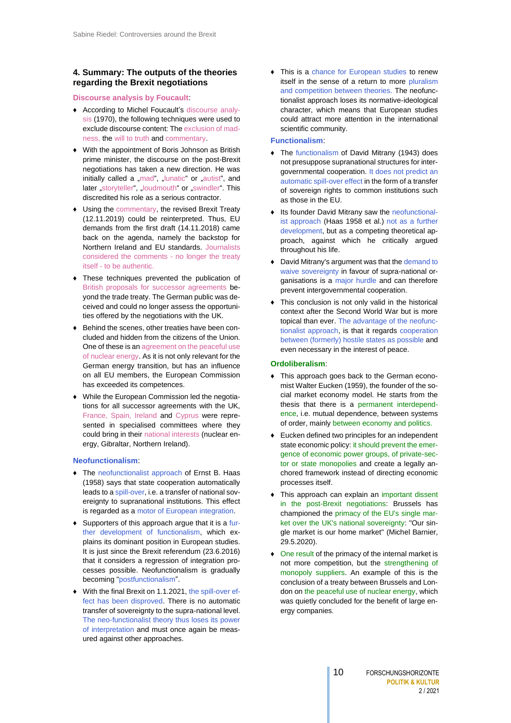# <span id="page-9-0"></span>**4. Summary: The outputs of the theories regarding the Brexit negotiations**

## **Discourse analysis by Foucault**:

- ♦ According to Michel Foucault's discourse analysis (1970), the following techniques were used to exclude discourse content: The exclusion of madness, the will to truth and commentary.
- ♦ With the appointment of Boris Johnson as British prime minister, the discourse on the post-Brexit negotiations has taken a new direction. He was initially called a "mad", "lunatic" or "autist", and later "storyteller", "loudmouth" or "swindler". This discredited his role as a serious contractor.
- ♦ Using the commentary, the revised Brexit Treaty (12.11.2019) could be reinterpreted. Thus, EU demands from the first draft (14.11.2018) came back on the agenda, namely the backstop for Northern Ireland and EU standards. Journalists considered the comments - no longer the treaty itself - to be authentic.
- ♦ These techniques prevented the publication of British proposals for successor agreements beyond the trade treaty. The German public was deceived and could no longer assess the opportunities offered by the negotiations with the UK.
- Behind the scenes, other treaties have been concluded and hidden from the citizens of the Union. One of these is an agreement on the peaceful use of nuclear energy. As it is not only relevant for the German energy transition, but has an influence on all EU members, the European Commission has exceeded its competences.
- ♦ While the European Commission led the negotiations for all successor agreements with the UK, France, Spain, Ireland and Cyprus were represented in specialised committees where they could bring in their national interests (nuclear energy, Gibraltar, Northern Ireland).

# **Neofunctionalism**:

- ♦ The neofunctionalist approach of Ernst B. Haas (1958) says that state cooperation automatically leads to a spill-over, i.e. a transfer of national sovereignty to supranational institutions. This effect is regarded as a motor of European integration.
- ♦ Supporters of this approach argue that it is a further development of functionalism, which explains its dominant position in European studies. It is just since the Brexit referendum (23.6.2016) that it considers a regression of integration processes possible. Neofunctionalism is gradually becoming "postfunctionalism".
- ♦ With the final Brexit on 1.1.2021, the spill-over effect has been disproved. There is no automatic transfer of sovereignty to the supra-national level. The neo-functionalist theory thus loses its power of interpretation and must once again be measured against other approaches.

♦ This is a chance for European studies to renew itself in the sense of a return to more pluralism and competition between theories. The neofunctionalist approach loses its normative-ideological character, which means that European studies could attract more attention in the international scientific community.

# **Functionalism**:

- The functionalism of David Mitrany (1943) does not presuppose supranational structures for intergovernmental cooperation. It does not predict an automatic spill-over effect in the form of a transfer of sovereign rights to common institutions such as those in the EU.
- Its founder David Mitrany saw the neofunctionalist approach (Haas 1958 et al.) not as a further development, but as a competing theoretical approach, against which he critically argued throughout his life.
- ♦ David Mitrany's argument was that the demand to waive sovereignty in favour of supra-national organisations is a major hurdle and can therefore prevent intergovernmental cooperation.
- ♦ This conclusion is not only valid in the historical context after the Second World War but is more topical than ever. The advantage of the neofunctionalist approach, is that it regards cooperation between (formerly) hostile states as possible and even necessary in the interest of peace.

#### **Ordoliberalism**:

- ♦ This approach goes back to the German economist Walter Eucken (1959), the founder of the social market economy model. He starts from the thesis that there is a permanent interdependence, i.e. mutual dependence, between systems of order, mainly between economy and politics.
- ♦ Eucken defined two principles for an independent state economic policy: it should prevent the emergence of economic power groups, of private-sector or state monopolies and create a legally anchored framework instead of directing economic processes itself.
- This approach can explain an important dissent in the post-Brexit negotiations: Brussels has championed the primacy of the EU's single market over the UK's national sovereignty: "Our single market is our home market" (Michel Barnier, 29.5.2020).
- ♦ One result of the primacy of the internal market is not more competition, but the strengthening of monopoly suppliers. An example of this is the conclusion of a treaty between Brussels and London on the peaceful use of nuclear energy, which was quietly concluded for the benefit of large energy companies.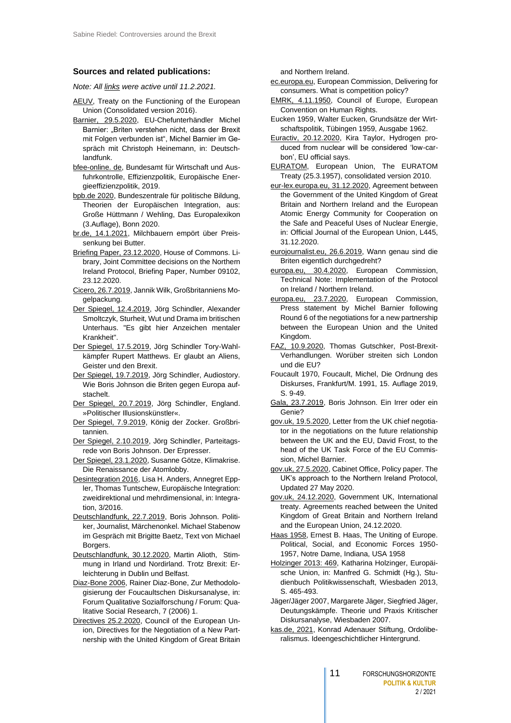# **Sources and related publications:**

*Note: All links were active until 11.2.2021.*

- [AEUV,](https://eur-lex.europa.eu/collection/eu-law/treaties/treaties-force.html?locale=en) Treaty on the Functioning of the European Union (Consolidated version 2016).
- [Barnier, 29.5.2020,](https://www.deutschlandfunk.de/eu-chefunterhaendler-michel-barnier-briten-verstehen-nicht.694.de.html?dram:article_id=477558) EU-Chefunterhändler Michel Barnier: "Briten verstehen nicht, dass der Brexit mit Folgen verbunden ist", Michel Barnier im Gespräch mit Christoph Heinemann, in: Deutschlandfunk.
- [bfee-online. de,](https://www.bfee-online.de/BfEE/DE/Effizienzpolitik/EuropaeischeEnergieeffizienzpolitik/europaeischeenergieeffizienzpolitik_node.html) Bundesamt für Wirtschaft und Ausfuhrkontrolle, Effizienzpolitik, Europäische Energieeffizienzpolitik, 2019.
- [bpb.de 2020,](https://www.bpb.de/nachschlagen/lexika/das-europalexikon/177303/theorien-der-europaeischen-integration) Bundeszentrale für politische Bildung, Theorien der Europäischen Integration, aus: Große Hüttmann / Wehling, Das Europalexikon (3.Auflage), Bonn 2020.
- [br.de, 14.1.2021,](https://www.br.de/nachrichten/wirtschaft/milchbauern-empoert-ueber-preissenkung-bei-butter,SM0Mzq2) Milchbauern empört über Preissenkung bei Butter.
- [Briefing Paper, 23.12.2020,](https://researchbriefings.files.parliament.uk/documents/CBP-9102/CBP-9102.pdf) House of Commons. Library, Joint Committee decisions on the Northern Ireland Protocol, Briefing Paper, Number 09102, 23.12.2020.
- [Cicero, 26.7.2019,](https://www.cicero.de/aussenpolitik/boris-johnson-premierminister-grossbritannien-brexit) Jannik Wilk, Großbritanniens Mogelpackung.
- [Der Spiegel, 12.4.2019,](https://www.spiegel.de/politik/brexit-besuch-im-unterhaus-es-gibt-hier-anzeichen-mentaler-krankheit-a-00000000-0002-0001-0000-000163403879) Jörg Schindler, Alexander Smoltczyk, Sturheit, Wut und Drama im britischen Unterhaus. "Es gibt hier Anzeichen mentaler Krankheit".
- [Der Spiegel, 17.5.2019,](https://www.spiegel.de/politik/tory-wahlkaempfer-rupert-matthews-glaubt-an-aliens-geister-und-den-brexit-a-00000000-0002-0001-0000-000163955865) Jörg Schindler Tory-Wahlkämpfer Rupert Matthews. Er glaubt an Aliens, Geister und den Brexit.
- [Der Spiegel, 19.7.2019,](https://www.spiegel.de/panorama/wie-boris-johnson-die-briten-gegen-europa-aufstachelt-a-f72c0566-13e9-4874-8097-12e7074f7bf9) Jörg Schindler, Audiostory. Wie Boris Johnson die Briten gegen Europa aufstachelt.
- [Der Spiegel, 20.7.2019,](https://www.spiegel.de/video/boris-johnson-schindler-video-99028554.html) Jörg Schindler, England. »Politischer Illusionskünstler«.
- [Der Spiegel, 7.9.2019,](https://magazin.spiegel.de/SP/2019/37/165815034/index.html) König der Zocker. Großbritannien.
- [Der Spiegel, 2.10.2019,](https://www.spiegel.de/politik/ausland/brexit-premier-boris-johnson-hat-fuer-die-eu-ein-vergiftetes-angebot-a-1289758.html) Jörg Schindler, Parteitagsrede von Boris Johnson. Der Erpresser.
- [Der Spiegel, 23.1.2020,](https://www.spiegel.de/wissenschaft/mensch/klimakrise-die-renaissance-der-atomlobby-a-75d4c673-7b99-46cd-82b0-d7037d2ff407) Susanne Götze, Klimakrise. Die Renaissance der Atomlobby.
- [Desintegration 2016,](http://iep-berlin.de/wp-content/uploads/2016/09/Anders-Eppler-Tuntschew-Integration.pdf) Lisa H. Anders, Annegret Eppler, Thomas Tuntschew, Europäische Integration: zweidirektional und mehrdimensional, in: Integration, 3/2016.
- [Deutschlandfunk, 22.7.2019,](https://www.deutschlandfunk.de/boris-johnson-politiker-journalist-maerchenonkel.2907.de.html?dram:article_id=454476) Boris Johnson. Politiker, Journalist, Märchenonkel. Michael Stabenow im Gespräch mit Brigitte Baetz, Text von Michael Borgers.
- [Deutschlandfunk, 30.12.2020,](https://www.deutschlandfunk.de/stimmung-in-irland-und-nordirland-trotz-brexit.795.de.html?dram:article_id=490078) Martin Alioth, Stimmung in Irland und Nordirland. Trotz Brexit: Erleichterung in Dublin und Belfast.
- [Diaz-Bone 2006,](https://www.ssoar.info/ssoar/handle/document/8761) Rainer Diaz-Bone, Zur Methodologisierung der Foucaultschen Diskursanalyse, in: Forum Qualitative Sozialforschung / Forum: Qualitative Social Research, 7 (2006) 1.
- [Directives 25.2.2020,](https://www.consilium.europa.eu/media/42736/st05870-ad01re03-en20.pdf) Council of the European Union, Directives for the Negotiation of a New Partnership with the United Kingdom of Great Britain

and Northern Ireland.

[ec.europa.eu,](https://ec.europa.eu/competition/consumers/what_en.html) European Commission, Delivering for consumers. What is competition policy?

- [EMRK, 4.11.1950,](https://www.echr.coe.int/documents/convention_eng.pdf) Council of Europe, European Convention on Human Rights.
- Eucken 1959, Walter Eucken, Grundsätze der Wirtschaftspolitik, Tübingen 1959, Ausgabe 1962.
- [Euractiv, 20.12.2020,](https://www.euractiv.com/section/energy-environment/news/hydrogen-produced-from-nuclear-will-be-considered-low-carbon-eu-official-says/) Kira Taylor, Hydrogen produced from nuclear will be considered 'low-carbon', EU official says.
- [EURATOM,](https://europa.eu/european-union/sites/europaeu/files/docs/body/consolidated_version_of_the_treaty_establishing_the_european_atomic_energy_community_en.pdf) European Union, The EURATOM Treaty (25.3.1957), consolidated version 2010.
- [eur-lex.europa.eu, 31.12.2020,](https://eur-lex.europa.eu/legal-content/DE/TXT/PDF/?uri=CELEX:22020A1231(04)&from=EN) Agreement between the Government of the United Kingdom of Great Britain and Northern Ireland and the European Atomic Energy Community for Cooperation on the Safe and Peaceful Uses of Nuclear Energie, in: Official Journal of the European Union, L445, 31.12.2020.
- [eurojournalist.eu, 26.6.2019,](http://eurojournalist.eu/wann-genau-sind-die-briten-eigentlich-durchgedreht/) Wann genau sind die Briten eigentlich durchgedreht?
- [europa.eu, 30.4.2020,](https://ec.europa.eu/info/sites/info/files/brexit_files/info_site/20200430_note_protocol_ie_ni.pdf) European Commission, Technical Note: Implementation of the Protocol on Ireland / Northern Ireland.
- [europa.eu, 23.7.2020,](https://ec.europa.eu/commission/presscorner/detail/en/statement_20_1400) European Commission, Press statement by Michel Barnier following Round 6 of the negotiations for a new partnership between the European Union and the United Kingdom.
- [FAZ, 10.9.2020,](https://www.faz.net/aktuell/politik/ausland/brexit-verhandlungen-worueber-streiten-sich-london-und-die-eu-16946856.html) Thomas Gutschker, Post-Brexit-Verhandlungen. Worüber streiten sich London und die EU?
- Foucault 1970, Foucault, Michel, Die Ordnung des Diskurses, Frankfurt/M. 1991, 15. Auflage 2019, S. 9-49.
- [Gala, 23.7.2019,](https://www.gala.de/stars/news/boris-johnson--ein-irrer-oder-ein-genie--22108474.html) Boris Johnson. Ein Irrer oder ein Genie?
- [gov.uk, 19.5.2020,](https://assets.publishing.service.gov.uk/government/uploads/system/uploads/attachment_data/file/886168/Letter_to_Michel_Barnier_19.05.20.pdf) Letter from the UK chief negotiator in the negotiations on the future relationship between the UK and the EU, David Frost, to the head of the UK Task Force of the EU Commission, Michel Barnier.
- [gov.uk, 27.5.2020,](https://www.gov.uk/government/publications/the-uks-approach-to-the-northern-ireland-protocol/the-uks-approach-to-the-northern-ireland-protocol) Cabinet Office, Policy paper. The UK's approach to the Northern Ireland Protocol, Updated 27 May 2020.
- [gov.uk, 24.12.2020,](https://www.gov.uk/government/publications/agreements-reached-between-the-united-kingdom-of-great-britain-and-northern-ireland-and-the-european-union) Government UK, International treaty. Agreements reached between the United Kingdom of Great Britain and Northern Ireland and the European Union, 24.12.2020.
- [Haas 1958,](https://www.europarl.europa.eu/100books/file/EN-H-BW-0038-The-uniting-of-Europe.pdf) Ernest B. Haas, The Uniting of Europe. Political, Social, and Economic Forces 1950- 1957, Notre Dame, Indiana, USA 1958
- [Holzinger 2013: 469,](https://www.google.de/url?sa=t&rct=j&q=&esrc=s&source=web&cd=&ved=2ahUKEwikn9i9p5fuAhV05eAKHYoaCZY4FBAWMAB6BAgFEAI&url=https%3A%2F%2Fkops.uni-konstanz.de%2Fbitstream%2F123456789%2F25876%2F2%2FHolzinger_258766.pdf&usg=AOvVaw0z7UYzLmiq00WhyQMxs9iU) Katharina Holzinger, Europäische Union, in: Manfred G. Schmidt (Hg.), Studienbuch Politikwissenschaft, Wiesbaden 2013, S. 465-493.
- Jäger/Jäger 2007, Margarete Jäger, Siegfried Jäger, Deutungskämpfe. Theorie und Praxis Kritischer Diskursanalyse, Wiesbaden 2007.
- [kas.de, 2021,](https://www.kas.de/de/web/soziale-marktwirtschaft/ordoliberalismus) Konrad Adenauer Stiftung, Ordoliberalismus. Ideengeschichtlicher Hintergrund.